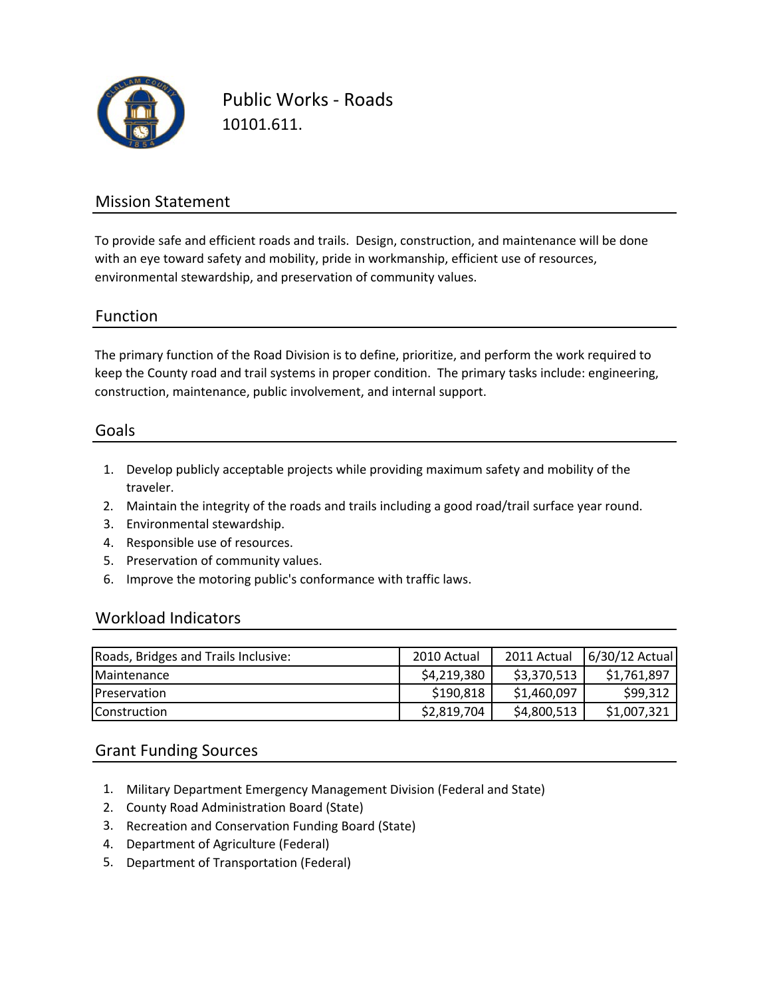

Public Works ‐ Roads 10101.611.

### Mission Statement

To provide safe and efficient roads and trails. Design, construction, and maintenance will be done with an eye toward safety and mobility, pride in workmanship, efficient use of resources, environmental stewardship, and preservation of community values.

#### Function

The primary function of the Road Division is to define, prioritize, and perform the work required to keep the County road and trail systems in proper condition. The primary tasks include: engineering, construction, maintenance, public involvement, and internal support.

#### Goals

- 1. Develop publicly acceptable projects while providing maximum safety and mobility of the traveler.
- 2. Maintain the integrity of the roads and trails including a good road/trail surface year round.
- 3. Environmental stewardship.
- 4. Responsible use of resources.
- 5. Preservation of community values.
- 6. Improve the motoring public's conformance with traffic laws.

### Workload Indicators

| Roads, Bridges and Trails Inclusive: | 2010 Actual | 2011 Actual | 6/30/12 Actual |
|--------------------------------------|-------------|-------------|----------------|
| <b>Maintenance</b>                   | \$4,219,380 | \$3,370,513 | \$1,761,897    |
| <b>IPreservation</b>                 | \$190,818   | \$1,460,097 | \$99,312       |
| <b>IConstruction</b>                 | \$2,819,704 | \$4,800,513 | \$1,007,321    |

### Grant Funding Sources

- 1. Military Department Emergency Management Division (Federal and State)
- 2. County Road Administration Board (State)
- 3. Recreation and Conservation Funding Board (State)
- 4. Department of Agriculture (Federal)
- 5. Department of Transportation (Federal)